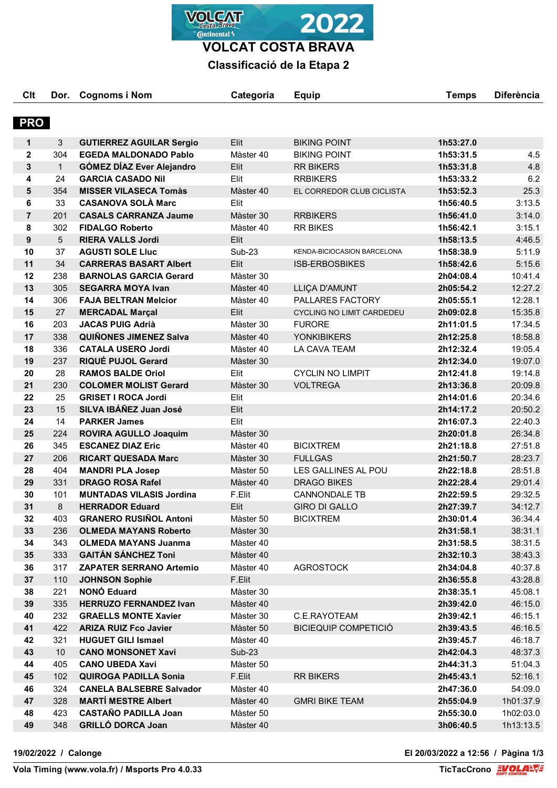**VOLCAT Continental** 

**VOLCAT COSTA BRAVA**

## **Classificació de la Etapa 2**

| Clt            | Dor.            | <b>Cognoms i Nom</b>             | Categoria              | <b>Equip</b>                     | <b>Temps</b>           | <b>Diferència</b> |
|----------------|-----------------|----------------------------------|------------------------|----------------------------------|------------------------|-------------------|
| <b>PRO</b>     |                 |                                  |                        |                                  |                        |                   |
| 1              | 3               | <b>GUTIERREZ AGUILAR Sergio</b>  | Elit                   | <b>BIKING POINT</b>              | 1h53:27.0              |                   |
| $\mathbf{2}$   | 304             | <b>EGEDA MALDONADO Pablo</b>     | Màster 40              | <b>BIKING POINT</b>              | 1h53:31.5              | 4.5               |
| 3              | $\mathbf{1}$    | <b>GÓMEZ DÍAZ Ever Alejandro</b> | Elit                   | <b>RR BIKERS</b>                 | 1h53:31.8              | 4.8               |
| 4              | 24              | <b>GARCIA CASADO NII</b>         | Elit                   | <b>RRBIKERS</b>                  | 1h53:33.2              | 6.2               |
| 5              | 354             | <b>MISSER VILASECA Tomàs</b>     | Màster 40              | EL CORREDOR CLUB CICLISTA        | 1h53:52.3              | 25.3              |
| 6              | 33              | <b>CASANOVA SOLÀ Marc</b>        | Elit                   |                                  | 1h56:40.5              | 3:13.5            |
| $\overline{7}$ | 201             | <b>CASALS CARRANZA Jaume</b>     | Màster 30              | <b>RRBIKERS</b>                  | 1h56:41.0              | 3:14.0            |
| 8              | 302             | <b>FIDALGO Roberto</b>           | Màster 40              | <b>RR BIKES</b>                  | 1h56:42.1              | 3:15.1            |
| 9              | $5\overline{)}$ | <b>RIERA VALLS Jordi</b>         | Elit                   |                                  | 1h58:13.5              | 4:46.5            |
| 10             | 37              | <b>AGUSTI SOLE Lluc</b>          | <b>Sub-23</b>          | KENDA-BICIOCASION BARCELONA      | 1h58:38.9              | 5:11.9            |
| 11             | 34              | <b>CARRERAS BASART Albert</b>    | Elit                   | <b>ISB-ERBOSBIKES</b>            | 1h58:42.6              | 5:15.6            |
| 12             | 238             | <b>BARNOLAS GARCIA Gerard</b>    | Màster 30              |                                  | 2h04:08.4              | 10:41.4           |
| 13             | 305             | <b>SEGARRA MOYA Ivan</b>         | Màster 40              | LLIÇA D'AMUNT                    | 2h05:54.2              | 12:27.2           |
| 14             | 306             | <b>FAJA BELTRAN Melcior</b>      | Màster 40              | PALLARES FACTORY                 | 2h05:55.1              | 12:28.1           |
| 15             | 27              | <b>MERCADAL Marçal</b>           | Elit                   | <b>CYCLING NO LIMIT CARDEDEU</b> | 2h09:02.8              | 15:35.8           |
| 16             | 203             | <b>JACAS PUIG Adrià</b>          | Màster 30              | <b>FURORE</b>                    | 2h11:01.5              | 17:34.5           |
| 17             | 338             | <b>QUIÑONES JIMENEZ Salva</b>    | Màster 40              | <b>YONKIBIKERS</b>               | 2h12:25.8              | 18:58.8           |
| 18             | 336             | <b>CATALA USERO Jordi</b>        | Màster 40              | LA CAVA TEAM                     | 2h12:32.4              | 19:05.4           |
| 19             | 237             | RIQUÉ PUJOL Gerard               | Màster 30              |                                  | 2h12:34.0              | 19:07.0           |
| 20             | 28              | <b>RAMOS BALDE Oriol</b>         | Elit                   | <b>CYCLIN NO LIMPIT</b>          | 2h12:41.8              | 19:14.8           |
| 21             | 230             | <b>COLOMER MOLIST Gerard</b>     | Màster 30              | <b>VOLTREGA</b>                  | 2h13:36.8              | 20:09.8           |
| 22             | 25              | <b>GRISET I ROCA Jordi</b>       | Elit                   |                                  | 2h14:01.6              | 20:34.6           |
| 23             | 15              | SILVA IBÁÑEZ Juan José           | Elit                   |                                  | 2h14:17.2              | 20:50.2           |
| 24             | 14              | <b>PARKER James</b>              | Elit                   |                                  | 2h16:07.3              | 22:40.3           |
| 25             | 224             | <b>ROVIRA AGULLO Joaquim</b>     | Màster 30              |                                  | 2h20:01.8              | 26:34.8           |
| 26             | 345             | <b>ESCANEZ DIAZ Eric</b>         | Màster 40              | <b>BICIXTREM</b>                 | 2h21:18.8              | 27:51.8           |
| 27             | 206             | <b>RICART QUESADA Marc</b>       | Màster 30              | <b>FULLGAS</b>                   | 2h21:50.7              | 28:23.7           |
| 28             | 404             | <b>MANDRI PLA Josep</b>          | Màster 50              | LES GALLINES AL POU              | 2h22:18.8              | 28:51.8           |
| 29             | 331             | <b>DRAGO ROSA Rafel</b>          | Màster 40              | <b>DRAGO BIKES</b>               | 2h22:28.4              | 29:01.4           |
| 30             | 101             | <b>MUNTADAS VILASIS Jordina</b>  | F.Elit                 | <b>CANNONDALE TB</b>             | 2h22:59.5              | 29:32.5           |
| 31             | 8               | <b>HERRADOR Eduard</b>           | Elit                   | GIRO DI GALLO                    | 2h27:39.7              | 34:12.7           |
| 32             | 403             | <b>GRANERO RUSIÑOL Antoni</b>    | Màster 50              | <b>BICIXTREM</b>                 | 2h30:01.4              | 36:34.4           |
| 33             | 236             | <b>OLMEDA MAYANS Roberto</b>     | Màster 30              |                                  | 2h31:58.1              | 38:31.1           |
| 34             | 343             | <b>OLMEDA MAYANS Juanma</b>      | Màster 40              |                                  | 2h31:58.5              | 38:31.5           |
| 35             | 333             | <b>GAITÁN SÁNCHEZ Toni</b>       | Màster 40              |                                  | 2h32:10.3              | 38:43.3           |
| 36             | 317             | <b>ZAPATER SERRANO Artemio</b>   | Màster 40              | <b>AGROSTOCK</b>                 | 2h34:04.8              | 40:37.8           |
| 37             | 110             | <b>JOHNSON Sophie</b>            | F.Elit                 |                                  | 2h36:55.8              | 43:28.8           |
| 38             | 221             | <b>NONÓ Eduard</b>               | Màster 30              |                                  | 2h38:35.1              | 45:08.1           |
| 39             | 335             | <b>HERRUZO FERNANDEZ Ivan</b>    | Màster 40              |                                  | 2h39:42.0              | 46:15.0           |
| 40             | 232             | <b>GRAELLS MONTE Xavier</b>      | Màster 30              | C.E.RAYOTEAM                     | 2h39:42.1              | 46:15.1           |
| 41             | 422             | <b>ARIZA RUIZ Fco Javier</b>     | Màster 50              | <b>BICIEQUIP COMPETICIÓ</b>      | 2h39:43.5              | 46:16.5           |
| 42             | 321             | <b>HUGUET GILI Ismael</b>        |                        |                                  |                        | 46:18.7           |
| 43             | 10              | <b>CANO MONSONET Xavi</b>        | Màster 40<br>Sub-23    |                                  | 2h39:45.7<br>2h42:04.3 | 48:37.3           |
| 44             | 405             | <b>CANO UBEDA Xavi</b>           | Màster 50              |                                  | 2h44:31.3              | 51:04.3           |
| 45             | 102             | <b>QUIROGA PADILLA Sonia</b>     | F.Elit                 | <b>RR BIKERS</b>                 | 2h45:43.1              | 52:16.1           |
| 46             | 324             | <b>CANELA BALSEBRE Salvador</b>  | Màster 40              |                                  | 2h47:36.0              | 54:09.0           |
|                | 328             | <b>MARTÍ MESTRE Albert</b>       |                        |                                  |                        |                   |
| 47<br>48       | 423             | <b>CASTAÑO PADILLA Joan</b>      | Màster 40<br>Màster 50 | <b>GMRI BIKE TEAM</b>            | 2h55:04.9<br>2h55:30.0 | 1h01:37.9         |
|                |                 |                                  |                        |                                  |                        | 1h02:03.0         |
| 49             | 348             | <b>GRILLÓ DORCA Joan</b>         | Màster 40              |                                  | 3h06:40.5              | 1h13:13.5         |

**19/02/2022 / Calonge El 20/03/2022 a 12:56 / Pàgina 1/3**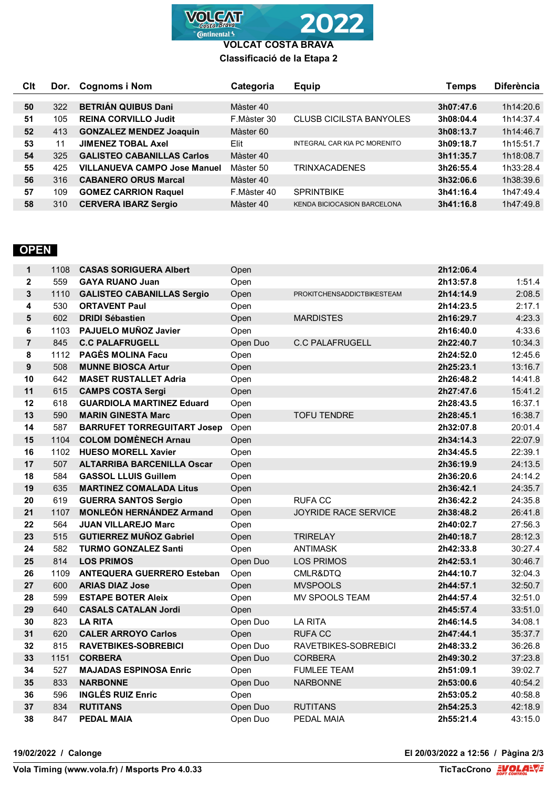

**VOLCAT COSTA BRAVA Classificació de la Etapa 2**

| Clt | Dor. | <b>Cognoms i Nom</b>                | Categoria   | <b>Equip</b>                   | Temps     | <b>Diferència</b> |
|-----|------|-------------------------------------|-------------|--------------------------------|-----------|-------------------|
|     |      |                                     |             |                                |           |                   |
| 50  | 322  | <b>BETRIÁN QUIBUS Dani</b>          | Màster 40   |                                | 3h07:47.6 | 1h14:20.6         |
| 51  | 105  | <b>REINA CORVILLO Judit</b>         | F.Màster 30 | <b>CLUSB CICILSTA BANYOLES</b> | 3h08:04.4 | 1h14:37.4         |
| 52  | 413  | <b>GONZALEZ MENDEZ Joaquin</b>      | Màster 60   |                                | 3h08:13.7 | 1h14:46.7         |
| 53  | 11   | <b>JIMENEZ TOBAL Axel</b>           | Elit        | INTEGRAL CAR KIA PC MORENITO   | 3h09:18.7 | 1h15:51.7         |
| 54  | 325  | <b>GALISTEO CABANILLAS Carlos</b>   | Màster 40   |                                | 3h11:35.7 | 1h18:08.7         |
| 55  | 425  | <b>VILLANUEVA CAMPO Jose Manuel</b> | Màster 50   | <b>TRINXACADENES</b>           | 3h26:55.4 | 1h33:28.4         |
| 56  | 316  | <b>CABANERO ORUS Marcal</b>         | Màster 40   |                                | 3h32:06.6 | 1h38:39.6         |
| 57  | 109  | <b>GOMEZ CARRION Raquel</b>         | F.Màster 40 | <b>SPRINTBIKE</b>              | 3h41:16.4 | 1h47:49.4         |
| 58  | 310  | <b>CERVERA IBARZ Sergio</b>         | Màster 40   | KENDA BICIOCASION BARCELONA    | 3h41:16.8 | 1h47:49.8         |

## **OPEN**

| $\mathbf 1$    | 1108 | <b>CASAS SORIGUERA Albert</b>      | Open     |                                   | 2h12:06.4 |         |
|----------------|------|------------------------------------|----------|-----------------------------------|-----------|---------|
| $\mathbf 2$    | 559  | <b>GAYA RUANO Juan</b>             | Open     |                                   | 2h13:57.8 | 1:51.4  |
| 3              | 1110 | <b>GALISTEO CABANILLAS Sergio</b>  | Open     | <b>PROKITCHENSADDICTBIKESTEAM</b> | 2h14:14.9 | 2:08.5  |
| 4              | 530  | <b>ORTAVENT Paul</b>               | Open     |                                   | 2h14:23.5 | 2:17.1  |
| 5              | 602  | <b>DRIDI Sébastien</b>             | Open     | <b>MARDISTES</b>                  | 2h16:29.7 | 4:23.3  |
| 6              | 1103 | PAJUELO MUÑOZ Javier               | Open     |                                   | 2h16:40.0 | 4:33.6  |
| $\overline{7}$ | 845  | <b>C.C PALAFRUGELL</b>             | Open Duo | <b>C.C PALAFRUGELL</b>            | 2h22:40.7 | 10:34.3 |
| 8              | 1112 | <b>PAGÈS MOLINA Facu</b>           | Open     |                                   | 2h24:52.0 | 12:45.6 |
| $\mathbf{9}$   | 508  | <b>MUNNE BIOSCA Artur</b>          | Open     |                                   | 2h25:23.1 | 13:16.7 |
| 10             | 642  | <b>MASET RUSTALLET Adria</b>       | Open     |                                   | 2h26:48.2 | 14:41.8 |
| 11             | 615  | <b>CAMPS COSTA Sergi</b>           | Open     |                                   | 2h27:47.6 | 15:41.2 |
| 12             | 618  | <b>GUARDIOLA MARTINEZ Eduard</b>   | Open     |                                   | 2h28:43.5 | 16:37.1 |
| 13             | 590  | <b>MARIN GINESTA Marc</b>          | Open     | <b>TOFU TENDRE</b>                | 2h28:45.1 | 16:38.7 |
| 14             | 587  | <b>BARRUFET TORREGUITART Josep</b> | Open     |                                   | 2h32:07.8 | 20:01.4 |
| 15             | 1104 | <b>COLOM DOMÈNECH Arnau</b>        | Open     |                                   | 2h34:14.3 | 22:07.9 |
| 16             | 1102 | <b>HUESO MORELL Xavier</b>         | Open     |                                   | 2h34:45.5 | 22:39.1 |
| 17             | 507  | <b>ALTARRIBA BARCENILLA Oscar</b>  | Open     |                                   | 2h36:19.9 | 24:13.5 |
| 18             | 584  | <b>GASSOL LLUIS Guillem</b>        | Open     |                                   | 2h36:20.6 | 24:14.2 |
| 19             | 635  | <b>MARTINEZ COMALADA Litus</b>     | Open     |                                   | 2h36:42.1 | 24:35.7 |
| 20             | 619  | <b>GUERRA SANTOS Sergio</b>        | Open     | <b>RUFACC</b>                     | 2h36:42.2 | 24:35.8 |
| 21             | 1107 | <b>MONLEÓN HERNÁNDEZ Armand</b>    | Open     | JOYRIDE RACE SERVICE              | 2h38:48.2 | 26:41.8 |
| 22             | 564  | <b>JUAN VILLAREJO Marc</b>         | Open     |                                   | 2h40:02.7 | 27:56.3 |
| 23             | 515  | <b>GUTIERREZ MUÑOZ Gabriel</b>     | Open     | <b>TRIRELAY</b>                   | 2h40:18.7 | 28:12.3 |
| 24             | 582  | <b>TURMO GONZALEZ Santi</b>        | Open     | <b>ANTIMASK</b>                   | 2h42:33.8 | 30:27.4 |
| 25             | 814  | <b>LOS PRIMOS</b>                  | Open Duo | <b>LOS PRIMOS</b>                 | 2h42:53.1 | 30:46.7 |
| 26             | 1109 | <b>ANTEQUERA GUERRERO Esteban</b>  | Open     | CMLR&DTQ                          | 2h44:10.7 | 32:04.3 |
| 27             | 600  | <b>ARIAS DIAZ Jose</b>             | Open     | <b>MVSPOOLS</b>                   | 2h44:57.1 | 32:50.7 |
| 28             | 599  | <b>ESTAPE BOTER Aleix</b>          | Open     | <b>MV SPOOLS TEAM</b>             | 2h44:57.4 | 32:51.0 |
| 29             | 640  | <b>CASALS CATALAN Jordi</b>        | Open     |                                   | 2h45:57.4 | 33:51.0 |
| 30             | 823  | <b>LA RITA</b>                     | Open Duo | <b>LA RITA</b>                    | 2h46:14.5 | 34:08.1 |
| 31             | 620  | <b>CALER ARROYO Carlos</b>         | Open     | <b>RUFA CC</b>                    | 2h47:44.1 | 35:37.7 |
| 32             | 815  | <b>RAVETBIKES-SOBREBICI</b>        | Open Duo | RAVETBIKES-SOBREBICI              | 2h48:33.2 | 36:26.8 |
| 33             | 1151 | <b>CORBERA</b>                     | Open Duo | <b>CORBERA</b>                    | 2h49:30.2 | 37:23.8 |
| 34             | 527  | <b>MAJADAS ESPINOSA Enric</b>      | Open     | <b>FUMLEE TEAM</b>                | 2h51:09.1 | 39:02.7 |
| 35             | 833  | <b>NARBONNE</b>                    | Open Duo | <b>NARBONNE</b>                   | 2h53:00.6 | 40:54.2 |
| 36             | 596  | <b>INGLÉS RUIZ Enric</b>           | Open     |                                   | 2h53:05.2 | 40:58.8 |
| 37             | 834  | <b>RUTITANS</b>                    | Open Duo | <b>RUTITANS</b>                   | 2h54:25.3 | 42:18.9 |
| 38             | 847  | <b>PEDAL MAIA</b>                  | Open Duo | PEDAL MAIA                        | 2h55:21.4 | 43:15.0 |

**19/02/2022 / Calonge El 20/03/2022 a 12:56 / Pàgina 2/3**